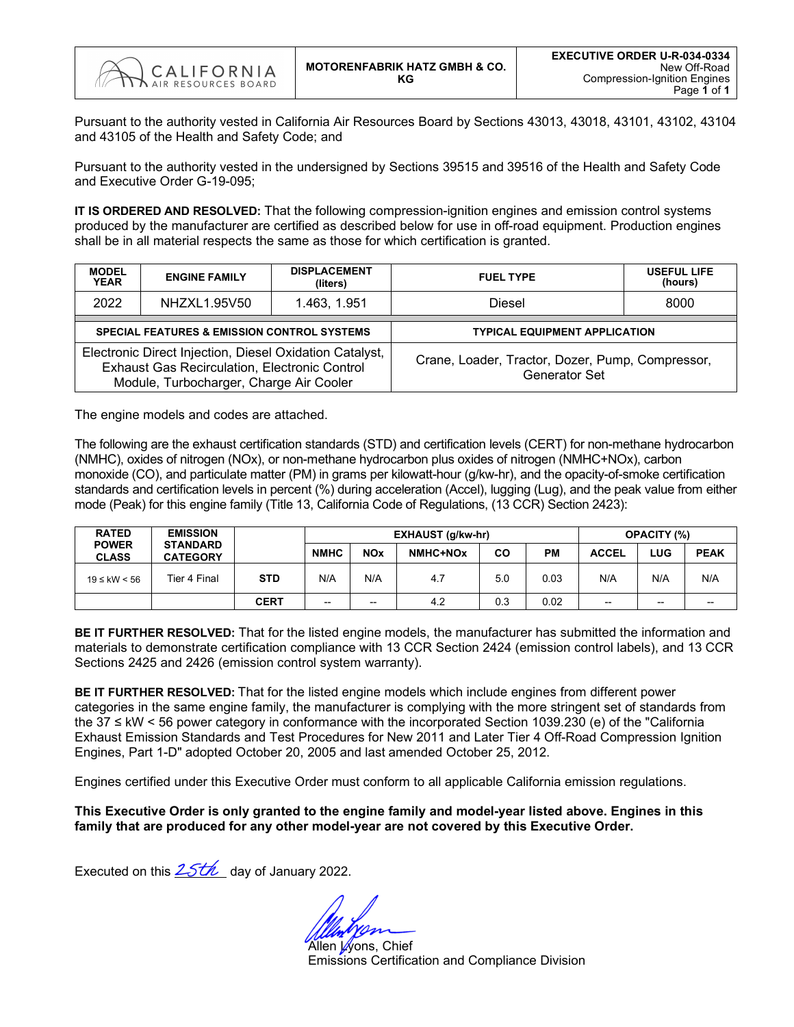

Pursuant to the authority vested in California Air Resources Board by Sections 43013, 43018, 43101, 43102, 43104 and 43105 of the Health and Safety Code; and

Pursuant to the authority vested in the undersigned by Sections 39515 and 39516 of the Health and Safety Code and Executive Order G-19-095;

**IT IS ORDERED AND RESOLVED:** That the following compression-ignition engines and emission control systems produced by the manufacturer are certified as described below for use in off-road equipment. Production engines shall be in all material respects the same as those for which certification is granted.

| <b>MODEL</b><br><b>YEAR</b> | <b>ENGINE FAMILY</b>                                                                                                                                | <b>DISPLACEMENT</b><br>(liters) | <b>FUEL TYPE</b>                                                         | <b>USEFUL LIFE</b><br>(hours) |  |  |  |  |  |
|-----------------------------|-----------------------------------------------------------------------------------------------------------------------------------------------------|---------------------------------|--------------------------------------------------------------------------|-------------------------------|--|--|--|--|--|
| 2022                        | NHZXL1.95V50                                                                                                                                        | 1.463, 1.951                    | Diesel                                                                   | 8000                          |  |  |  |  |  |
|                             | <b>SPECIAL FEATURES &amp; EMISSION CONTROL SYSTEMS</b>                                                                                              |                                 | <b>TYPICAL EQUIPMENT APPLICATION</b>                                     |                               |  |  |  |  |  |
|                             | Electronic Direct Injection, Diesel Oxidation Catalyst,<br>Exhaust Gas Recirculation, Electronic Control<br>Module, Turbocharger, Charge Air Cooler |                                 | Crane, Loader, Tractor, Dozer, Pump, Compressor,<br><b>Generator Set</b> |                               |  |  |  |  |  |

The engine models and codes are attached.

The following are the exhaust certification standards (STD) and certification levels (CERT) for non-methane hydrocarbon (NMHC), oxides of nitrogen (NOx), or non-methane hydrocarbon plus oxides of nitrogen (NMHC+NOx), carbon monoxide (CO), and particulate matter (PM) in grams per kilowatt-hour (g/kw-hr), and the opacity-of-smoke certification standards and certification levels in percent (%) during acceleration (Accel), lugging (Lug), and the peak value from either mode (Peak) for this engine family (Title 13, California Code of Regulations, (13 CCR) Section 2423):

| <b>RATED</b>                 | <b>EMISSION</b>                    |             |             |                          | EXHAUST (g/kw-hr) | <b>OPACITY (%)</b> |      |                          |       |             |
|------------------------------|------------------------------------|-------------|-------------|--------------------------|-------------------|--------------------|------|--------------------------|-------|-------------|
| <b>POWER</b><br><b>CLASS</b> | <b>STANDARD</b><br><b>CATEGORY</b> |             | <b>NMHC</b> | <b>NOx</b>               | NMHC+NOx          | CO                 | PМ   | <b>ACCEL</b>             | LUG   | <b>PEAK</b> |
| $19 ≤$ kW < 56               | <b>STD</b><br>Tier 4 Final         |             | N/A         | N/A                      | 4.7               | 5.0                | 0.03 | N/A                      | N/A   | N/A         |
|                              |                                    | <b>CERT</b> | $- -$       | $\overline{\phantom{a}}$ | 4.2               | 0.3                | 0.02 | $\overline{\phantom{a}}$ | $- -$ | $- -$       |

**BE IT FURTHER RESOLVED:** That for the listed engine models, the manufacturer has submitted the information and materials to demonstrate certification compliance with 13 CCR Section 2424 (emission control labels), and 13 CCR Sections 2425 and 2426 (emission control system warranty).

**BE IT FURTHER RESOLVED:** That for the listed engine models which include engines from different power categories in the same engine family, the manufacturer is complying with the more stringent set of standards from the 37 ≤ kW < 56 power category in conformance with the incorporated Section 1039.230 (e) of the "California Exhaust Emission Standards and Test Procedures for New 2011 and Later Tier 4 Off-Road Compression Ignition Engines, Part 1-D" adopted October 20, 2005 and last amended October 25, 2012.

Engines certified under this Executive Order must conform to all applicable California emission regulations.

**This Executive Order is only granted to the engine family and model-year listed above. Engines in this family that are produced for any other model-year are not covered by this Executive Order.**

Executed on this  $25th$  day of January 2022.

Allen Wons, Chief Emissions Certification and Compliance Division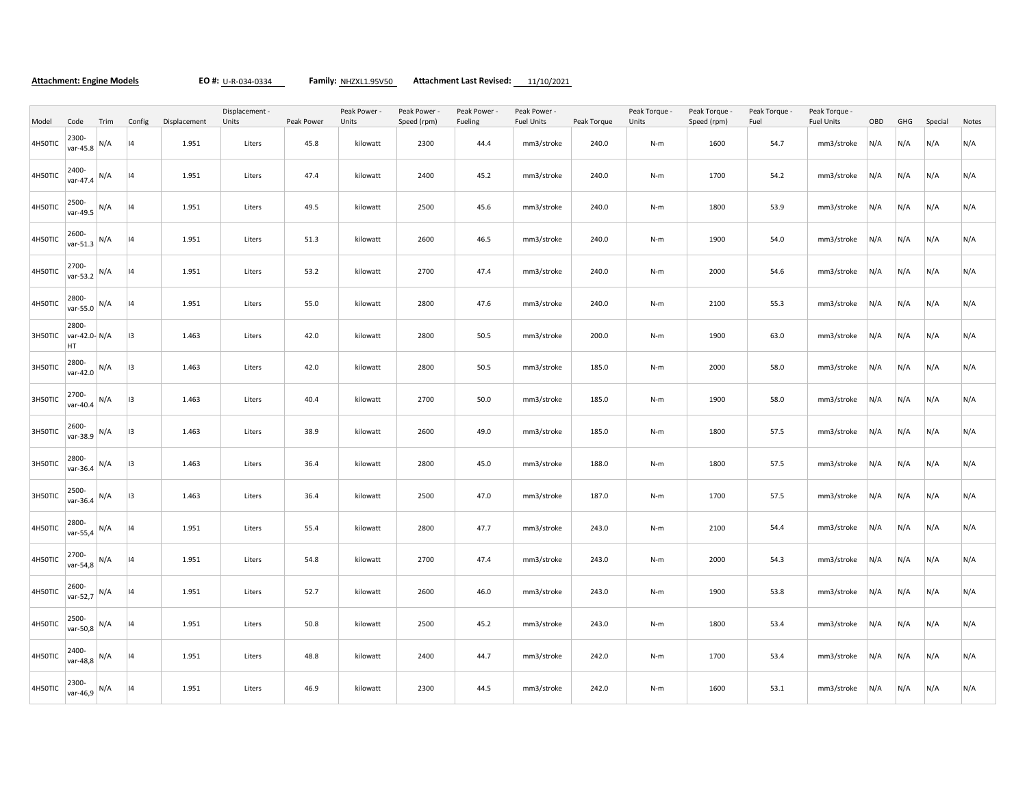**Attachment: Engine Models EO #:** U-R-034-0334 **Family:** NHZXL1.95V50 **Attachment Last Revised:** 11/10/2021

|         |                              |      | Displacement - |              |        |            | Peak Power - | Peak Power - | Peak Power - | Peak Power -      |             | Peak Torque - | Peak Torque - | Peak Torque - | Peak Torque -     |     |     |         |       |
|---------|------------------------------|------|----------------|--------------|--------|------------|--------------|--------------|--------------|-------------------|-------------|---------------|---------------|---------------|-------------------|-----|-----|---------|-------|
| Model   | Code                         | Trim | Config         | Displacement | Units  | Peak Power | Units        | Speed (rpm)  | Fueling      | <b>Fuel Units</b> | Peak Torque | Units         | Speed (rpm)   | Fuel          | <b>Fuel Units</b> | OBD | GHG | Special | Notes |
| 4H50TIC | 2300-<br>var-45.8            | N/A  | 4              | 1.951        | Liters | 45.8       | kilowatt     | 2300         | 44.4         | mm3/stroke        | 240.0       | $N-m$         | 1600          | 54.7          | mm3/stroke        | N/A | N/A | N/A     | N/A   |
| 4H50TIC | 2400-<br>var-47.4            | N/A  | 4              | 1.951        | Liters | 47.4       | kilowatt     | 2400         | 45.2         | mm3/stroke        | 240.0       | $N-m$         | 1700          | 54.2          | mm3/stroke        | N/A | N/A | N/A     | N/A   |
| 4H50TIC | 2500-<br>var-49.5            | N/A  | 4              | 1.951        | Liters | 49.5       | kilowatt     | 2500         | 45.6         | mm3/stroke        | 240.0       | $N-m$         | 1800          | 53.9          | mm3/stroke        | N/A | N/A | N/A     | N/A   |
| 4H50TIC | 2600-<br>var-51.3            | N/A  | 14             | 1.951        | Liters | 51.3       | kilowatt     | 2600         | 46.5         | mm3/stroke        | 240.0       | $N-m$         | 1900          | 54.0          | mm3/stroke        | N/A | N/A | N/A     | N/A   |
| 4H50TIC | 2700-<br>var-53.2            | N/A  | 4              | 1.951        | Liters | 53.2       | kilowatt     | 2700         | 47.4         | mm3/stroke        | 240.0       | $N-m$         | 2000          | 54.6          | mm3/stroke        | N/A | N/A | N/A     | N/A   |
| 4H50TIC | 2800-<br>var-55.0            | N/A  | 14             | 1.951        | Liters | 55.0       | kilowatt     | 2800         | 47.6         | mm3/stroke        | 240.0       | $N-m$         | 2100          | 55.3          | mm3/stroke        | N/A | N/A | N/A     | N/A   |
| 3H50TIC | 2800-<br>var-42.0- N/A<br>HT |      | 13             | 1.463        | Liters | 42.0       | kilowatt     | 2800         | 50.5         | mm3/stroke        | 200.0       | $N-m$         | 1900          | 63.0          | mm3/stroke        | N/A | N/A | N/A     | N/A   |
| 3H50TIC | 2800-<br>var-42.0            | N/A  | 13             | 1.463        | Liters | 42.0       | kilowatt     | 2800         | 50.5         | mm3/stroke        | 185.0       | $N-m$         | 2000          | 58.0          | mm3/stroke        | N/A | N/A | N/A     | N/A   |
| 3H50TIC | 2700-<br>var-40.4            | N/A  | 13             | 1.463        | Liters | 40.4       | kilowatt     | 2700         | 50.0         | mm3/stroke        | 185.0       | N-m           | 1900          | 58.0          | mm3/stroke        | N/A | N/A | N/A     | N/A   |
| 3H50TIC | 2600-<br>var-38.9            | N/A  | 13             | 1.463        | Liters | 38.9       | kilowatt     | 2600         | 49.0         | mm3/stroke        | 185.0       | $N-m$         | 1800          | 57.5          | mm3/stroke        | N/A | N/A | N/A     | N/A   |
| 3H50TIC | 2800-<br>var-36.4            | N/A  | 13             | 1.463        | Liters | 36.4       | kilowatt     | 2800         | 45.0         | mm3/stroke        | 188.0       | $N-m$         | 1800          | 57.5          | mm3/stroke        | N/A | N/A | N/A     | N/A   |
| 3H50TIC | 2500-<br>var-36.4            | N/A  | 13             | 1.463        | Liters | 36.4       | kilowatt     | 2500         | 47.0         | mm3/stroke        | 187.0       | $N-m$         | 1700          | 57.5          | mm3/stroke        | N/A | N/A | N/A     | N/A   |
| 4H50TIC | 2800-<br>var-55,4            | N/A  | 4              | 1.951        | Liters | 55.4       | kilowatt     | 2800         | 47.7         | mm3/stroke        | 243.0       | $N-m$         | 2100          | 54.4          | mm3/stroke        | N/A | N/A | N/A     | N/A   |
| 4H50TIC | 2700-<br>var-54,8            | N/A  | 4              | 1.951        | Liters | 54.8       | kilowatt     | 2700         | 47.4         | mm3/stroke        | 243.0       | $N-m$         | 2000          | 54.3          | mm3/stroke        | N/A | N/A | N/A     | N/A   |
| 4H50TIC | 2600-<br>var-52,7            | N/A  | 4              | 1.951        | Liters | 52.7       | kilowatt     | 2600         | 46.0         | mm3/stroke        | 243.0       | $N-m$         | 1900          | 53.8          | mm3/stroke        | N/A | N/A | N/A     | N/A   |
| 4H50TIC | 2500-<br>var-50,8            | N/A  | 4              | 1.951        | Liters | 50.8       | kilowatt     | 2500         | 45.2         | mm3/stroke        | 243.0       | $N-m$         | 1800          | 53.4          | mm3/stroke        | N/A | N/A | N/A     | N/A   |
| 4H50TIC | 2400-<br>var-48,8            | N/A  | 4              | 1.951        | Liters | 48.8       | kilowatt     | 2400         | 44.7         | mm3/stroke        | 242.0       | N-m           | 1700          | 53.4          | mm3/stroke        | N/A | N/A | N/A     | N/A   |
| 4H50TIC | 2300-<br>var-46,9            | N/A  | 4              | 1.951        | Liters | 46.9       | kilowatt     | 2300         | 44.5         | mm3/stroke        | 242.0       | $N-m$         | 1600          | 53.1          | mm3/stroke        | N/A | N/A | N/A     | N/A   |